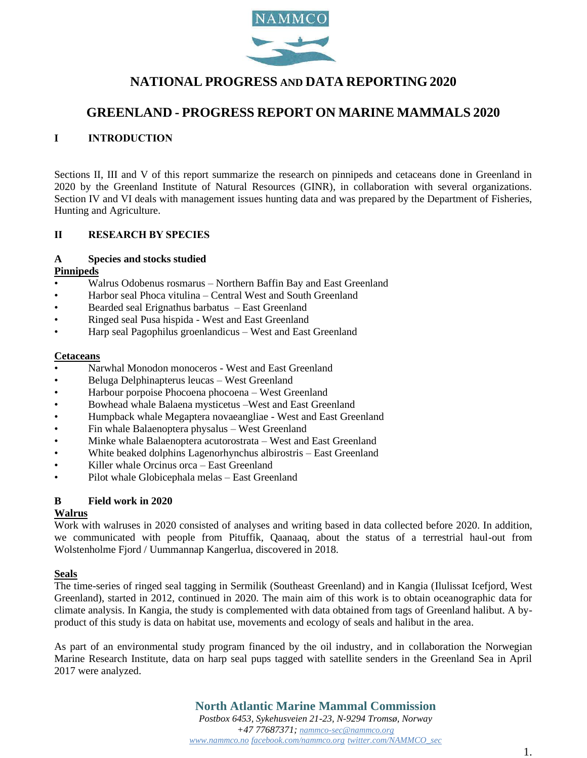

# **NATIONAL PROGRESS AND DATA REPORTING 2020**

# **GREENLAND - PROGRESS REPORT ON MARINE MAMMALS 2020**

## **I INTRODUCTION**

Sections II, III and V of this report summarize the research on pinnipeds and cetaceans done in Greenland in 2020 by the Greenland Institute of Natural Resources (GINR), in collaboration with several organizations. Section IV and VI deals with management issues hunting data and was prepared by the Department of Fisheries, Hunting and Agriculture.

### **II RESEARCH BY SPECIES**

#### **A Species and stocks studied**

### **Pinnipeds**

- Walrus Odobenus rosmarus Northern Baffin Bay and East Greenland
- Harbor seal Phoca vitulina Central West and South Greenland
- Bearded seal Erignathus barbatus East Greenland
- Ringed seal Pusa hispida West and East Greenland
- Harp seal Pagophilus groenlandicus West and East Greenland

#### **Cetaceans**

- Narwhal Monodon monoceros West and East Greenland
- Beluga Delphinapterus leucas West Greenland
- Harbour porpoise Phocoena phocoena West Greenland
- Bowhead whale Balaena mysticetus –West and East Greenland
- Humpback whale Megaptera novaeangliae West and East Greenland
- Fin whale Balaenoptera physalus West Greenland
- Minke whale Balaenoptera acutorostrata West and East Greenland
- White beaked dolphins Lagenorhynchus albirostris East Greenland
- Killer whale Orcinus orca East Greenland
- Pilot whale Globicephala melas East Greenland

### **B Field work in 2020**

### **Walrus**

Work with walruses in 2020 consisted of analyses and writing based in data collected before 2020. In addition, we communicated with people from Pituffik, Qaanaaq, about the status of a terrestrial haul-out from Wolstenholme Fjord / Uummannap Kangerlua, discovered in 2018.

### **Seals**

The time-series of ringed seal tagging in Sermilik (Southeast Greenland) and in Kangia (Ilulissat Icefjord, West Greenland), started in 2012, continued in 2020. The main aim of this work is to obtain oceanographic data for climate analysis. In Kangia, the study is complemented with data obtained from tags of Greenland halibut. A byproduct of this study is data on habitat use, movements and ecology of seals and halibut in the area.

As part of an environmental study program financed by the oil industry, and in collaboration the Norwegian Marine Research Institute, data on harp seal pups tagged with satellite senders in the Greenland Sea in April 2017 were analyzed.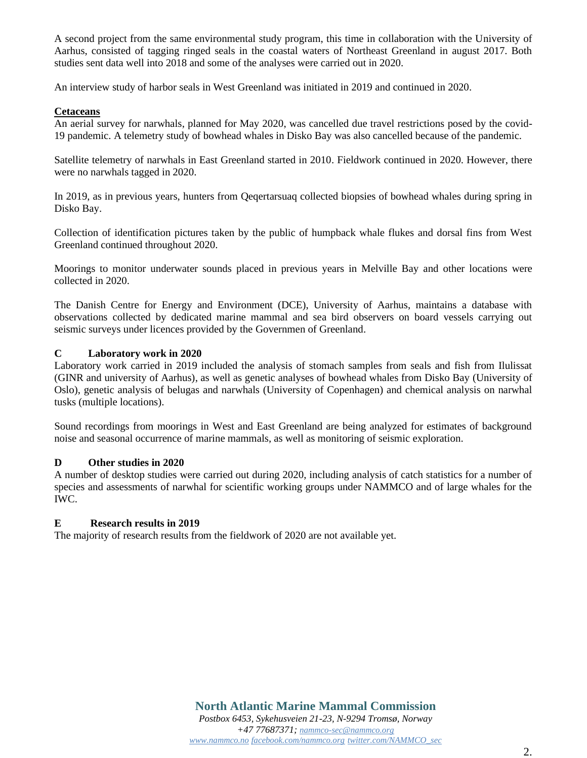A second project from the same environmental study program, this time in collaboration with the University of Aarhus, consisted of tagging ringed seals in the coastal waters of Northeast Greenland in august 2017. Both studies sent data well into 2018 and some of the analyses were carried out in 2020.

An interview study of harbor seals in West Greenland was initiated in 2019 and continued in 2020.

## **Cetaceans**

An aerial survey for narwhals, planned for May 2020, was cancelled due travel restrictions posed by the covid-19 pandemic. A telemetry study of bowhead whales in Disko Bay was also cancelled because of the pandemic.

Satellite telemetry of narwhals in East Greenland started in 2010. Fieldwork continued in 2020. However, there were no narwhals tagged in 2020.

In 2019, as in previous years, hunters from Qeqertarsuaq collected biopsies of bowhead whales during spring in Disko Bay.

Collection of identification pictures taken by the public of humpback whale flukes and dorsal fins from West Greenland continued throughout 2020.

Moorings to monitor underwater sounds placed in previous years in Melville Bay and other locations were collected in 2020.

The Danish Centre for Energy and Environment (DCE), University of Aarhus, maintains a database with observations collected by dedicated marine mammal and sea bird observers on board vessels carrying out seismic surveys under licences provided by the Governmen of Greenland.

## **C Laboratory work in 2020**

Laboratory work carried in 2019 included the analysis of stomach samples from seals and fish from Ilulissat (GINR and university of Aarhus), as well as genetic analyses of bowhead whales from Disko Bay (University of Oslo), genetic analysis of belugas and narwhals (University of Copenhagen) and chemical analysis on narwhal tusks (multiple locations).

Sound recordings from moorings in West and East Greenland are being analyzed for estimates of background noise and seasonal occurrence of marine mammals, as well as monitoring of seismic exploration.

#### **D Other studies in 2020**

A number of desktop studies were carried out during 2020, including analysis of catch statistics for a number of species and assessments of narwhal for scientific working groups under NAMMCO and of large whales for the IWC.

#### **E Research results in 2019**

The majority of research results from the fieldwork of 2020 are not available yet.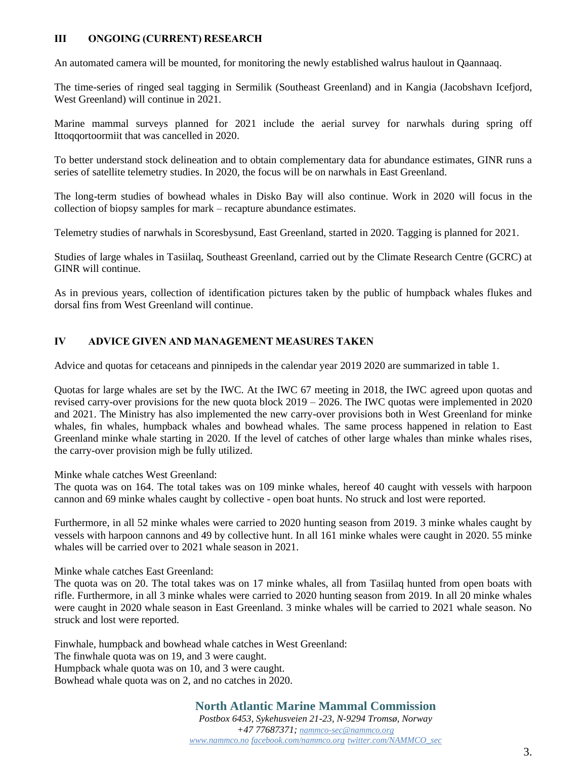## **III ONGOING (CURRENT) RESEARCH**

An automated camera will be mounted, for monitoring the newly established walrus haulout in Qaannaaq.

The time-series of ringed seal tagging in Sermilik (Southeast Greenland) and in Kangia (Jacobshavn Icefjord, West Greenland) will continue in 2021.

Marine mammal surveys planned for 2021 include the aerial survey for narwhals during spring off Ittoqqortoormiit that was cancelled in 2020.

To better understand stock delineation and to obtain complementary data for abundance estimates, GINR runs a series of satellite telemetry studies. In 2020, the focus will be on narwhals in East Greenland.

The long-term studies of bowhead whales in Disko Bay will also continue. Work in 2020 will focus in the collection of biopsy samples for mark – recapture abundance estimates.

Telemetry studies of narwhals in Scoresbysund, East Greenland, started in 2020. Tagging is planned for 2021.

Studies of large whales in Tasiilaq, Southeast Greenland, carried out by the Climate Research Centre (GCRC) at GINR will continue.

As in previous years, collection of identification pictures taken by the public of humpback whales flukes and dorsal fins from West Greenland will continue.

## **IV ADVICE GIVEN AND MANAGEMENT MEASURES TAKEN**

Advice and quotas for cetaceans and pinnipeds in the calendar year 2019 2020 are summarized in table 1.

Quotas for large whales are set by the IWC. At the IWC 67 meeting in 2018, the IWC agreed upon quotas and revised carry-over provisions for the new quota block 2019 – 2026. The IWC quotas were implemented in 2020 and 2021. The Ministry has also implemented the new carry-over provisions both in West Greenland for minke whales, fin whales, humpback whales and bowhead whales. The same process happened in relation to East Greenland minke whale starting in 2020. If the level of catches of other large whales than minke whales rises, the carry-over provision migh be fully utilized.

Minke whale catches West Greenland:

The quota was on 164. The total takes was on 109 minke whales, hereof 40 caught with vessels with harpoon cannon and 69 minke whales caught by collective - open boat hunts. No struck and lost were reported.

Furthermore, in all 52 minke whales were carried to 2020 hunting season from 2019. 3 minke whales caught by vessels with harpoon cannons and 49 by collective hunt. In all 161 minke whales were caught in 2020. 55 minke whales will be carried over to 2021 whale season in 2021.

Minke whale catches East Greenland:

The quota was on 20. The total takes was on 17 minke whales, all from Tasiilaq hunted from open boats with rifle. Furthermore, in all 3 minke whales were carried to 2020 hunting season from 2019. In all 20 minke whales were caught in 2020 whale season in East Greenland. 3 minke whales will be carried to 2021 whale season. No struck and lost were reported.

Finwhale, humpback and bowhead whale catches in West Greenland:

The finwhale quota was on 19, and 3 were caught.

Humpback whale quota was on 10, and 3 were caught.

Bowhead whale quota was on 2, and no catches in 2020.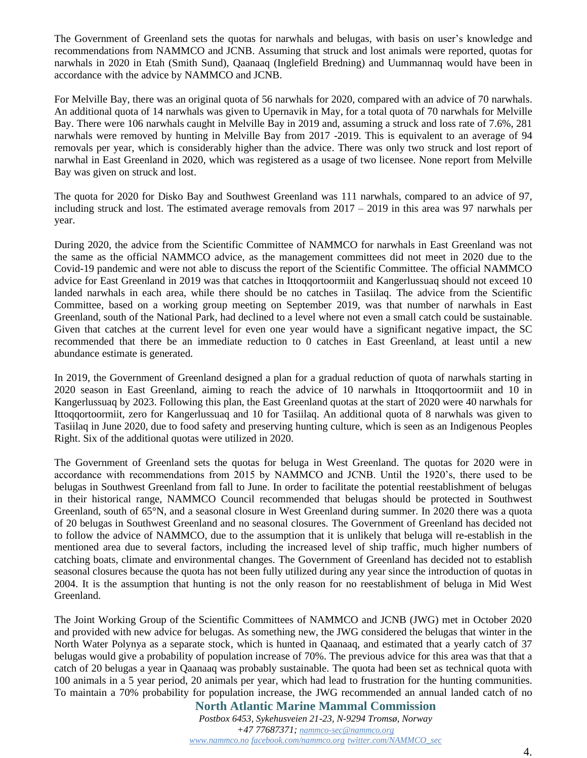The Government of Greenland sets the quotas for narwhals and belugas, with basis on user's knowledge and recommendations from NAMMCO and JCNB. Assuming that struck and lost animals were reported, quotas for narwhals in 2020 in Etah (Smith Sund), Qaanaaq (Inglefield Bredning) and Uummannaq would have been in accordance with the advice by NAMMCO and JCNB.

For Melville Bay, there was an original quota of 56 narwhals for 2020, compared with an advice of 70 narwhals. An additional quota of 14 narwhals was given to Upernavik in May, for a total quota of 70 narwhals for Melville Bay. There were 106 narwhals caught in Melville Bay in 2019 and, assuming a struck and loss rate of 7.6%, 281 narwhals were removed by hunting in Melville Bay from 2017 -2019. This is equivalent to an average of 94 removals per year, which is considerably higher than the advice. There was only two struck and lost report of narwhal in East Greenland in 2020, which was registered as a usage of two licensee. None report from Melville Bay was given on struck and lost.

The quota for 2020 for Disko Bay and Southwest Greenland was 111 narwhals, compared to an advice of 97, including struck and lost. The estimated average removals from  $2017 - 2019$  in this area was 97 narwhals per year.

During 2020, the advice from the Scientific Committee of NAMMCO for narwhals in East Greenland was not the same as the official NAMMCO advice, as the management committees did not meet in 2020 due to the Covid-19 pandemic and were not able to discuss the report of the Scientific Committee. The official NAMMCO advice for East Greenland in 2019 was that catches in Ittoqqortoormiit and Kangerlussuaq should not exceed 10 landed narwhals in each area, while there should be no catches in Tasiilaq. The advice from the Scientific Committee, based on a working group meeting on September 2019, was that number of narwhals in East Greenland, south of the National Park, had declined to a level where not even a small catch could be sustainable. Given that catches at the current level for even one year would have a significant negative impact, the SC recommended that there be an immediate reduction to 0 catches in East Greenland, at least until a new abundance estimate is generated.

In 2019, the Government of Greenland designed a plan for a gradual reduction of quota of narwhals starting in 2020 season in East Greenland, aiming to reach the advice of 10 narwhals in Ittoqqortoormiit and 10 in Kangerlussuaq by 2023. Following this plan, the East Greenland quotas at the start of 2020 were 40 narwhals for Ittoqqortoormiit, zero for Kangerlussuaq and 10 for Tasiilaq. An additional quota of 8 narwhals was given to Tasiilaq in June 2020, due to food safety and preserving hunting culture, which is seen as an Indigenous Peoples Right. Six of the additional quotas were utilized in 2020.

The Government of Greenland sets the quotas for beluga in West Greenland. The quotas for 2020 were in accordance with recommendations from 2015 by NAMMCO and JCNB. Until the 1920's, there used to be belugas in Southwest Greenland from fall to June. In order to facilitate the potential reestablishment of belugas in their historical range, NAMMCO Council recommended that belugas should be protected in Southwest Greenland, south of 65°N, and a seasonal closure in West Greenland during summer. In 2020 there was a quota of 20 belugas in Southwest Greenland and no seasonal closures. The Government of Greenland has decided not to follow the advice of NAMMCO, due to the assumption that it is unlikely that beluga will re-establish in the mentioned area due to several factors, including the increased level of ship traffic, much higher numbers of catching boats, climate and environmental changes. The Government of Greenland has decided not to establish seasonal closures because the quota has not been fully utilized during any year since the introduction of quotas in 2004. It is the assumption that hunting is not the only reason for no reestablishment of beluga in Mid West Greenland.

The Joint Working Group of the Scientific Committees of NAMMCO and JCNB (JWG) met in October 2020 and provided with new advice for belugas. As something new, the JWG considered the belugas that winter in the North Water Polynya as a separate stock, which is hunted in Qaanaaq, and estimated that a yearly catch of 37 belugas would give a probability of population increase of 70%. The previous advice for this area was that that a catch of 20 belugas a year in Qaanaaq was probably sustainable. The quota had been set as technical quota with 100 animals in a 5 year period, 20 animals per year, which had lead to frustration for the hunting communities. To maintain a 70% probability for population increase, the JWG recommended an annual landed catch of no

**North Atlantic Marine Mammal Commission**

*Postbox 6453, Sykehusveien 21-23, N-9294 Tromsø, Norway +47 77687371; [nammco-sec@nammco.org](mailto:nammco-sec@nammco.org) [www.nammco.no](http://www.nammco.no/) [facebook.com/nammco.org](http://www.facebook.com/nammco.org) [twitter.com/NAMMCO\\_sec](https://twitter.com/NAMMCO_sec)*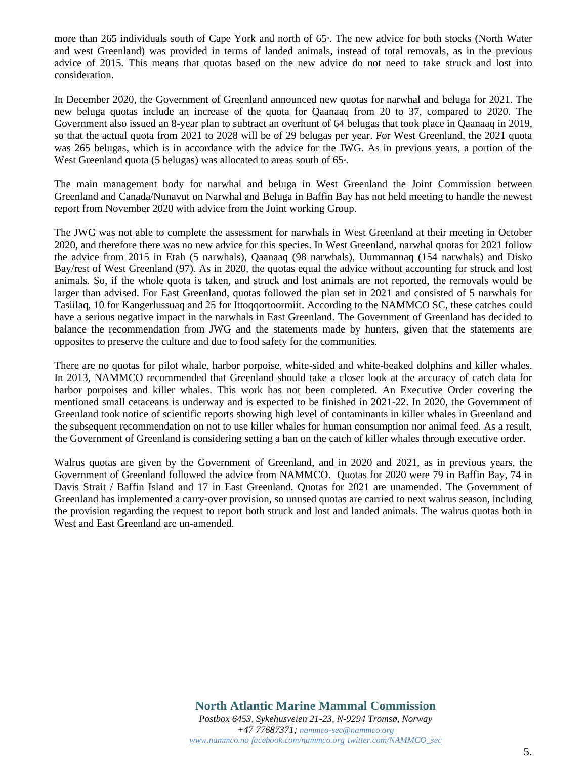more than 265 individuals south of Cape York and north of 65°. The new advice for both stocks (North Water and west Greenland) was provided in terms of landed animals, instead of total removals, as in the previous advice of 2015. This means that quotas based on the new advice do not need to take struck and lost into consideration.

In December 2020, the Government of Greenland announced new quotas for narwhal and beluga for 2021. The new beluga quotas include an increase of the quota for Qaanaaq from 20 to 37, compared to 2020. The Government also issued an 8-year plan to subtract an overhunt of 64 belugas that took place in Qaanaaq in 2019, so that the actual quota from 2021 to 2028 will be of 29 belugas per year. For West Greenland, the 2021 quota was 265 belugas, which is in accordance with the advice for the JWG. As in previous years, a portion of the West Greenland quota (5 belugas) was allocated to areas south of 65°.

The main management body for narwhal and beluga in West Greenland the Joint Commission between Greenland and Canada/Nunavut on Narwhal and Beluga in Baffin Bay has not held meeting to handle the newest report from November 2020 with advice from the Joint working Group.

The JWG was not able to complete the assessment for narwhals in West Greenland at their meeting in October 2020, and therefore there was no new advice for this species. In West Greenland, narwhal quotas for 2021 follow the advice from 2015 in Etah (5 narwhals), Qaanaaq (98 narwhals), Uummannaq (154 narwhals) and Disko Bay/rest of West Greenland (97). As in 2020, the quotas equal the advice without accounting for struck and lost animals. So, if the whole quota is taken, and struck and lost animals are not reported, the removals would be larger than advised. For East Greenland, quotas followed the plan set in 2021 and consisted of 5 narwhals for Tasiilaq, 10 for Kangerlussuaq and 25 for Ittoqqortoormiit. According to the NAMMCO SC, these catches could have a serious negative impact in the narwhals in East Greenland. The Government of Greenland has decided to balance the recommendation from JWG and the statements made by hunters, given that the statements are opposites to preserve the culture and due to food safety for the communities.

There are no quotas for pilot whale, harbor porpoise, white-sided and white-beaked dolphins and killer whales. In 2013, NAMMCO recommended that Greenland should take a closer look at the accuracy of catch data for harbor porpoises and killer whales. This work has not been completed. An Executive Order covering the mentioned small cetaceans is underway and is expected to be finished in 2021-22. In 2020, the Government of Greenland took notice of scientific reports showing high level of contaminants in killer whales in Greenland and the subsequent recommendation on not to use killer whales for human consumption nor animal feed. As a result, the Government of Greenland is considering setting a ban on the catch of killer whales through executive order.

Walrus quotas are given by the Government of Greenland, and in 2020 and 2021, as in previous years, the Government of Greenland followed the advice from NAMMCO. Quotas for 2020 were 79 in Baffin Bay, 74 in Davis Strait / Baffin Island and 17 in East Greenland. Quotas for 2021 are unamended. The Government of Greenland has implemented a carry-over provision, so unused quotas are carried to next walrus season, including the provision regarding the request to report both struck and lost and landed animals. The walrus quotas both in West and East Greenland are un-amended.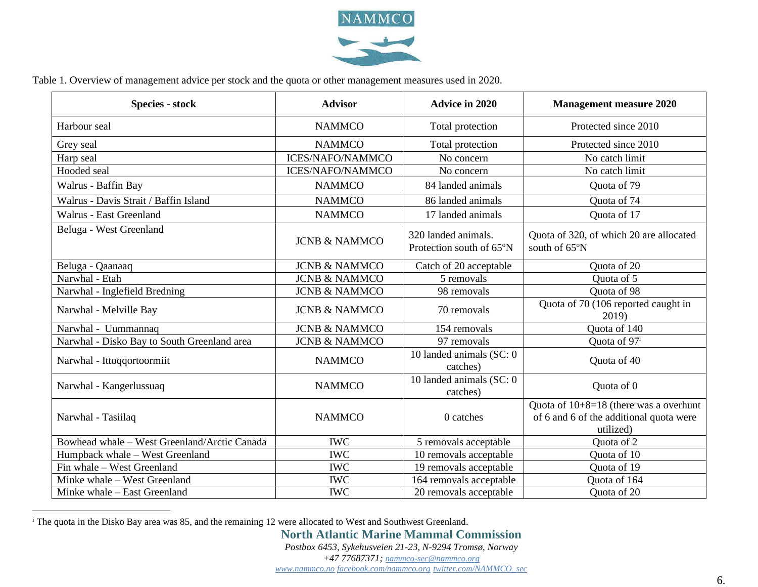

Table 1. Overview of management advice per stock and the quota or other management measures used in 2020.

| <b>Species - stock</b>                       | <b>Advisor</b>           | <b>Advice in 2020</b>                           | <b>Management measure 2020</b>                                                                   |
|----------------------------------------------|--------------------------|-------------------------------------------------|--------------------------------------------------------------------------------------------------|
| Harbour seal                                 | <b>NAMMCO</b>            | Total protection                                | Protected since 2010                                                                             |
| Grey seal                                    | <b>NAMMCO</b>            | Total protection                                | Protected since 2010                                                                             |
| Harp seal                                    | <b>ICES/NAFO/NAMMCO</b>  | No concern                                      | No catch limit                                                                                   |
| Hooded seal                                  | <b>ICES/NAFO/NAMMCO</b>  | No concern                                      | No catch limit                                                                                   |
| Walrus - Baffin Bay                          | <b>NAMMCO</b>            | 84 landed animals                               | Quota of 79                                                                                      |
| Walrus - Davis Strait / Baffin Island        | <b>NAMMCO</b>            | 86 landed animals                               | Quota of 74                                                                                      |
| Walrus - East Greenland                      | <b>NAMMCO</b>            | 17 landed animals                               | Quota of 17                                                                                      |
| Beluga - West Greenland                      | <b>JCNB &amp; NAMMCO</b> | 320 landed animals.<br>Protection south of 65°N | Quota of 320, of which 20 are allocated<br>south of 65°N                                         |
| Beluga - Qaanaaq                             | <b>JCNB &amp; NAMMCO</b> | Catch of 20 acceptable                          | Quota of 20                                                                                      |
| Narwhal - Etah                               | <b>JCNB &amp; NAMMCO</b> | 5 removals                                      | Quota of 5                                                                                       |
| Narwhal - Inglefield Bredning                | <b>JCNB &amp; NAMMCO</b> | 98 removals                                     | Quota of 98                                                                                      |
| Narwhal - Melville Bay                       | <b>JCNB &amp; NAMMCO</b> | 70 removals                                     | Quota of 70 (106 reported caught in<br>2019)                                                     |
| Narwhal - Uummannaq                          | <b>JCNB &amp; NAMMCO</b> | 154 removals                                    | Quota of 140                                                                                     |
| Narwhal - Disko Bay to South Greenland area  | <b>JCNB &amp; NAMMCO</b> | 97 removals                                     | Quota of 97 <sup>i</sup>                                                                         |
| Narwhal - Ittoqqortoormiit                   | <b>NAMMCO</b>            | 10 landed animals (SC: 0<br>catches)            | Quota of 40                                                                                      |
| Narwhal - Kangerlussuaq                      | <b>NAMMCO</b>            | 10 landed animals (SC: 0<br>catches)            | Quota of 0                                                                                       |
| Narwhal - Tasiilaq                           | <b>NAMMCO</b>            | 0 catches                                       | Quota of $10+8=18$ (there was a overhunt<br>of 6 and 6 of the additional quota were<br>utilized) |
| Bowhead whale - West Greenland/Arctic Canada | <b>IWC</b>               | 5 removals acceptable                           | Quota of 2                                                                                       |
| Humpback whale - West Greenland              | <b>IWC</b>               | 10 removals acceptable                          | Quota of 10                                                                                      |
| Fin whale - West Greenland                   | <b>IWC</b>               | 19 removals acceptable                          | Quota of 19                                                                                      |
| Minke whale - West Greenland                 | <b>IWC</b>               | 164 removals acceptable                         | Quota of 164                                                                                     |
| Minke whale - East Greenland                 | <b>IWC</b>               | 20 removals acceptable                          | Quota of 20                                                                                      |

<sup>i</sup> The quota in the Disko Bay area was 85, and the remaining 12 were allocated to West and Southwest Greenland.

**North Atlantic Marine Mammal Commission**

*Postbox 6453, Sykehusveien 21-23, N-9294 Tromsø, Norway*

*+47 77687371; [nammco-sec@nammco.org](mailto:nammco-sec@nammco.org)*

*[www.nammco.no](http://www.nammco.no/) [facebook.com/nammco.org](http://www.facebook.com/nammco.org) [twitter.com/NAMMCO\\_sec](https://twitter.com/NAMMCO_sec)*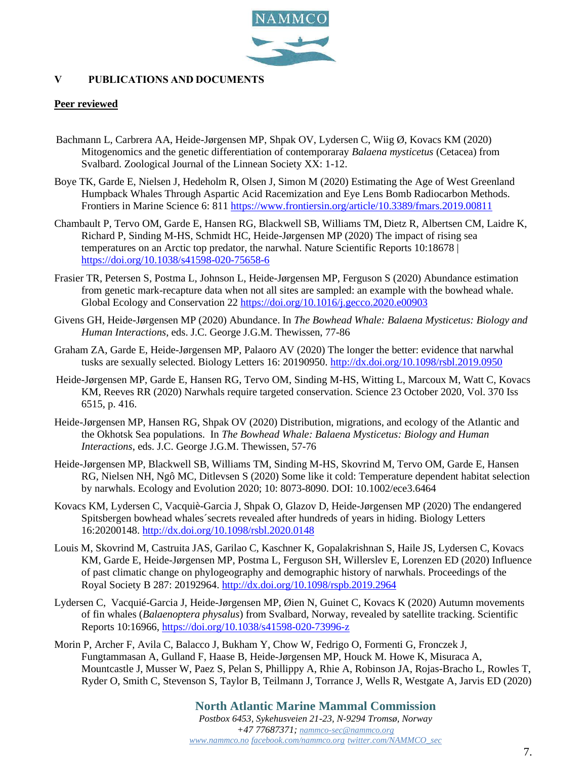

# **V PUBLICATIONS AND DOCUMENTS**

### **Peer reviewed**

- Bachmann L, Carbrera AA, Heide-Jørgensen MP, Shpak OV, Lydersen C, Wiig Ø, Kovacs KM (2020) Mitogenomics and the genetic differentiation of contemporaray *Balaena mysticetus* (Cetacea) from Svalbard. Zoological Journal of the Linnean Society XX: 1-12.
- Boye TK, Garde E, Nielsen J, Hedeholm R, Olsen J, Simon M (2020) Estimating the Age of West Greenland Humpback Whales Through Aspartic Acid Racemization and Eye Lens Bomb Radiocarbon Methods. Frontiers in Marine Science 6: 811<https://www.frontiersin.org/article/10.3389/fmars.2019.00811>
- Chambault P, Tervo OM, Garde E, Hansen RG, Blackwell SB, Williams TM, Dietz R, Albertsen CM, Laidre K, Richard P, Sinding M-HS, Schmidt HC, Heide-Jørgensen MP (2020) The impact of rising sea temperatures on an Arctic top predator, the narwhal. Nature Scientific Reports 10:18678 | <https://doi.org/10.1038/s41598-020-75658-6>
- Frasier TR, Petersen S, Postma L, Johnson L, Heide-Jørgensen MP, Ferguson S (2020) Abundance estimation from genetic mark-recapture data when not all sites are sampled: an example with the bowhead whale. Global Ecology and Conservation 22<https://doi.org/10.1016/j.gecco.2020.e00903>
- Givens GH, Heide-Jørgensen MP (2020) Abundance. In *The Bowhead Whale: Balaena Mysticetus: Biology and Human Interactions*, eds. J.C. George J.G.M. Thewissen, 77-86
- Graham ZA, Garde E, Heide-Jørgensen MP, Palaoro AV (2020) The longer the better: evidence that narwhal tusks are sexually selected. Biology Letters 16: 20190950.<http://dx.doi.org/10.1098/rsbl.2019.0950>
- Heide-Jørgensen MP, Garde E, Hansen RG, Tervo OM, Sinding M-HS, Witting L, Marcoux M, Watt C, Kovacs KM, Reeves RR (2020) Narwhals require targeted conservation. Science 23 October 2020, Vol. 370 Iss 6515, p. 416.
- Heide-Jørgensen MP, Hansen RG, Shpak OV (2020) Distribution, migrations, and ecology of the Atlantic and the Okhotsk Sea populations. In *The Bowhead Whale: Balaena Mysticetus: Biology and Human Interactions*, eds. J.C. George J.G.M. Thewissen, 57-76
- Heide-Jørgensen MP, Blackwell SB, Williams TM, Sinding M-HS, Skovrind M, Tervo OM, Garde E, Hansen RG, Nielsen NH, Ngô MC, Ditlevsen S (2020) Some like it cold: Temperature dependent habitat selection by narwhals. Ecology and Evolution 2020; 10: 8073-8090. DOI: 10.1002/ece3.6464
- Kovacs KM, Lydersen C, Vacquiè-Garcia J, Shpak O, Glazov D, Heide-Jørgensen MP (2020) The endangered Spitsbergen bowhead whales´secrets revealed after hundreds of years in hiding. Biology Letters 16:20200148.<http://dx.doi.org/10.1098/rsbl.2020.0148>
- Louis M, Skovrind M, Castruita JAS, Garilao C, Kaschner K, Gopalakrishnan S, Haile JS, Lydersen C, Kovacs KM, Garde E, Heide-Jørgensen MP, Postma L, Ferguson SH, Willerslev E, Lorenzen ED (2020) Influence of past climatic change on phylogeography and demographic history of narwhals. Proceedings of the Royal Society B 287: 20192964.<http://dx.doi.org/10.1098/rspb.2019.2964>
- Lydersen C, Vacquié-Garcia J, Heide-Jørgensen MP, Øien N, Guinet C, Kovacs K (2020) Autumn movements of fin whales (*Balaenoptera physalus*) from Svalbard, Norway, revealed by satellite tracking. Scientific Reports 10:16966,<https://doi.org/10.1038/s41598-020-73996-z>
- Morin P, Archer F, Avila C, Balacco J, Bukham Y, Chow W, Fedrigo O, Formenti G, Fronczek J, Fungtammasan A, Gulland F, Haase B, Heide-Jørgensen MP, Houck M. Howe K, Misuraca A, Mountcastle J, Musser W, Paez S, Pelan S, Phillippy A, Rhie A, Robinson JA, Rojas-Bracho L, Rowles T, Ryder O, Smith C, Stevenson S, Taylor B, Teilmann J, Torrance J, Wells R, Westgate A, Jarvis ED (2020)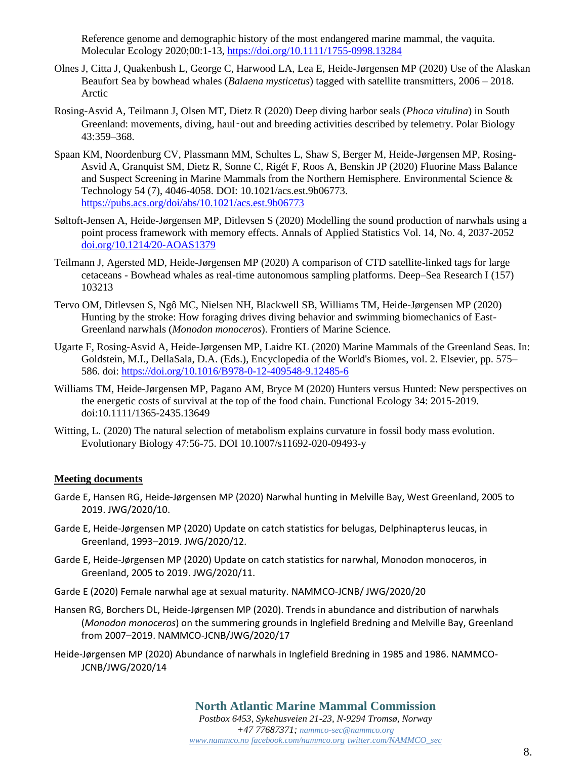Reference genome and demographic history of the most endangered marine mammal, the vaquita. Molecular Ecology 2020;00:1-13,<https://doi.org/10.1111/1755-0998.13284>

- Olnes J, Citta J, Quakenbush L, George C, Harwood LA, Lea E, Heide-Jørgensen MP (2020) [Use of the Alaskan](https://www.researchgate.net/publication/342300032_Use_of_the_Alaskan_Beaufort_Sea_by_bowhead_whales_Balaena_mysticetus_tagged_with_satellite_transmitters_2006_-_2018)  Beaufort Sea by bowhead whales (*Balaena mysticetus*[\) tagged with satellite transmitters, 2006 –](https://www.researchgate.net/publication/342300032_Use_of_the_Alaskan_Beaufort_Sea_by_bowhead_whales_Balaena_mysticetus_tagged_with_satellite_transmitters_2006_-_2018) 2018. Arctic
- Rosing-Asvid A, Teilmann J, Olsen MT, Dietz R (2020) Deep diving harbor seals (*Phoca vitulina*) in South Greenland: movements, diving, haul‑out and breeding activities described by telemetry. Polar Biology 43:359–368.
- Spaan KM, Noordenburg CV, Plassmann MM, Schultes L, Shaw S, Berger M, Heide-Jørgensen MP, Rosing-Asvid A, Granquist SM, Dietz R, Sonne C, Rigét F, Roos A, Benskin JP (2020) Fluorine Mass Balance and Suspect Screening in Marine Mammals from the Northern Hemisphere. Environmental Science & Technology 54 (7), 4046-4058. DOI: 10.1021/acs.est.9b06773. <https://pubs.acs.org/doi/abs/10.1021/acs.est.9b06773>
- Søltoft-Jensen A, Heide-Jørgensen MP, Ditlevsen S (2020) Modelling the sound production of narwhals using a point process framework with memory effects. Annals of Applied Statistics Vol. 14, No. 4, 2037-2052 [doi.org/10.1214/20-AOAS1379](http://dx.doi.org/10.1214/20-AOAS1379)
- Teilmann J, Agersted MD, Heide-Jørgensen MP (2020) A comparison of CTD satellite-linked tags for large cetaceans - Bowhead whales as real-time autonomous sampling platforms. Deep–Sea Research I (157) 103213
- Tervo OM, Ditlevsen S, Ngô MC, Nielsen NH, Blackwell SB, Williams TM, Heide-Jørgensen MP (2020) Hunting by the stroke: How foraging drives diving behavior and swimming biomechanics of East-Greenland narwhals (*Monodon monoceros*). Frontiers of Marine Science.
- Ugarte F, Rosing-Asvid A, Heide-Jørgensen MP, Laidre KL (2020) Marine Mammals of the Greenland Seas. In: Goldstein, M.I., DellaSala, D.A. (Eds.), Encyclopedia of the World's Biomes, vol. 2. Elsevier, pp. 575– 586. doi:<https://doi.org/10.1016/B978-0-12-409548-9.12485-6>
- Williams TM, Heide-Jørgensen MP, Pagano AM, Bryce M (2020) Hunters versus Hunted: New perspectives on the energetic costs of survival at the top of the food chain. Functional Ecology 34: 2015-2019. doi:10.1111/1365-2435.13649
- Witting, L. (2020) The natural selection of metabolism explains curvature in fossil body mass evolution. Evolutionary Biology 47:56-75. DOI 10.1007/s11692-020-09493-y

### **Meeting documents**

- Garde E, Hansen RG, Heide-Jørgensen MP (2020) Narwhal hunting in Melville Bay, West Greenland, 2005 to 2019. JWG/2020/10.
- Garde E, Heide-Jørgensen MP (2020) Update on catch statistics for belugas, Delphinapterus leucas, in Greenland, 1993–2019. JWG/2020/12.
- Garde E, Heide-Jørgensen MP (2020) Update on catch statistics for narwhal, Monodon monoceros, in Greenland, 2005 to 2019. JWG/2020/11.
- Garde E (2020) Female narwhal age at sexual maturity. NAMMCO-JCNB/ JWG/2020/20
- Hansen RG, Borchers DL, Heide-Jørgensen MP (2020). Trends in abundance and distribution of narwhals (*Monodon monoceros*) on the summering grounds in Inglefield Bredning and Melville Bay, Greenland from 2007–2019. NAMMCO-JCNB/JWG/2020/17
- Heide-Jørgensen MP (2020) Abundance of narwhals in Inglefield Bredning in 1985 and 1986. NAMMCO-JCNB/JWG/2020/14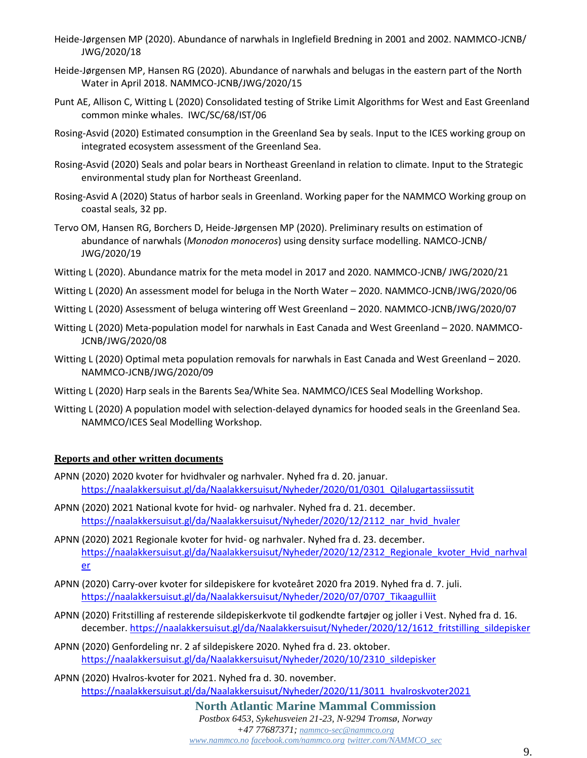- Heide-Jørgensen MP (2020). Abundance of narwhals in Inglefield Bredning in 2001 and 2002. NAMMCO-JCNB/ JWG/2020/18
- Heide-Jørgensen MP, Hansen RG (2020). Abundance of narwhals and belugas in the eastern part of the North Water in April 2018. NAMMCO-JCNB/JWG/2020/15
- Punt AE, Allison C, Witting L (2020) Consolidated testing of Strike Limit Algorithms for West and East Greenland common minke whales. IWC/SC/68/IST/06
- Rosing-Asvid (2020) Estimated consumption in the Greenland Sea by seals. Input to the ICES working group on integrated ecosystem assessment of the Greenland Sea.
- Rosing-Asvid (2020) Seals and polar bears in Northeast Greenland in relation to climate. Input to the Strategic environmental study plan for Northeast Greenland.
- Rosing-Asvid A (2020) Status of harbor seals in Greenland. Working paper for the NAMMCO Working group on coastal seals, 32 pp.
- Tervo OM, Hansen RG, Borchers D, Heide-Jørgensen MP (2020). Preliminary results on estimation of abundance of narwhals (*Monodon monoceros*) using density surface modelling. NAMCO-JCNB/ JWG/2020/19
- Witting L (2020). Abundance matrix for the meta model in 2017 and 2020. NAMMCO-JCNB/ JWG/2020/21
- Witting L (2020) An assessment model for beluga in the North Water 2020. NAMMCO-JCNB/JWG/2020/06
- Witting L (2020) Assessment of beluga wintering off West Greenland 2020. NAMMCO-JCNB/JWG/2020/07
- Witting L (2020) Meta-population model for narwhals in East Canada and West Greenland 2020. NAMMCO-JCNB/JWG/2020/08
- Witting L (2020) Optimal meta population removals for narwhals in East Canada and West Greenland 2020. NAMMCO-JCNB/JWG/2020/09
- Witting L (2020) Harp seals in the Barents Sea/White Sea. NAMMCO/ICES Seal Modelling Workshop.
- Witting L (2020) A population model with selection-delayed dynamics for hooded seals in the Greenland Sea. NAMMCO/ICES Seal Modelling Workshop.

## **Reports and other written documents**

- APNN (2020) 2020 kvoter for hvidhvaler og narhvaler. Nyhed fra d. 20. januar. [https://naalakkersuisut.gl/da/Naalakkersuisut/Nyheder/2020/01/0301\\_Qilalugartassiissutit](https://naalakkersuisut.gl/da/Naalakkersuisut/Nyheder/2020/01/0301_Qilalugartassiissutit)
- APNN (2020) 2021 National kvote for hvid- og narhvaler. Nyhed fra d. 21. december. [https://naalakkersuisut.gl/da/Naalakkersuisut/Nyheder/2020/12/2112\\_nar\\_hvid\\_hvaler](https://naalakkersuisut.gl/da/Naalakkersuisut/Nyheder/2020/12/2112_nar_hvid_hvaler)
- APNN (2020) 2021 Regionale kvoter for hvid- og narhvaler. Nyhed fra d. 23. december. [https://naalakkersuisut.gl/da/Naalakkersuisut/Nyheder/2020/12/2312\\_Regionale\\_kvoter\\_Hvid\\_narhval](https://naalakkersuisut.gl/da/Naalakkersuisut/Nyheder/2020/12/2312_Regionale_kvoter_Hvid_narhvaler) [er](https://naalakkersuisut.gl/da/Naalakkersuisut/Nyheder/2020/12/2312_Regionale_kvoter_Hvid_narhvaler)
- APNN (2020) Carry-over kvoter for sildepiskere for kvoteåret 2020 fra 2019. Nyhed fra d. 7. juli. [https://naalakkersuisut.gl/da/Naalakkersuisut/Nyheder/2020/07/0707\\_Tikaagulliit](https://naalakkersuisut.gl/da/Naalakkersuisut/Nyheder/2020/07/0707_Tikaagulliit)
- APNN (2020) Fritstilling af resterende sildepiskerkvote til godkendte fartøjer og joller i Vest. Nyhed fra d. 16. december. https://naalakkersuisut.gl/da/Naalakkersuisut/Nyheder/2020/12/1612 fritstilling sildepisker
- APNN (2020) Genfordeling nr. 2 af sildepiskere 2020. Nyhed fra d. 23. oktober. [https://naalakkersuisut.gl/da/Naalakkersuisut/Nyheder/2020/10/2310\\_sildepisker](https://naalakkersuisut.gl/da/Naalakkersuisut/Nyheder/2020/10/2310_sildepisker)
- APNN (2020) Hvalros-kvoter for 2021. Nyhed fra d. 30. november. [https://naalakkersuisut.gl/da/Naalakkersuisut/Nyheder/2020/11/3011\\_hvalroskvoter2021](https://naalakkersuisut.gl/da/Naalakkersuisut/Nyheder/2020/11/3011_hvalroskvoter2021)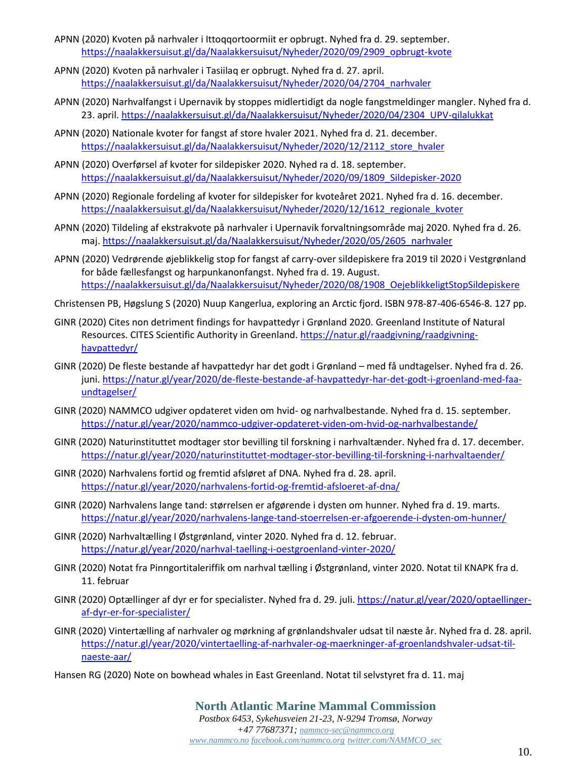- APNN (2020) Kvoten på narhvaler i Ittoqqortoormiit er opbrugt. Nyhed fra d. 29. september. [https://naalakkersuisut.gl/da/Naalakkersuisut/Nyheder/2020/09/2909\\_opbrugt-kvote](https://naalakkersuisut.gl/da/Naalakkersuisut/Nyheder/2020/09/2909_opbrugt-kvote)
- APNN (2020) Kvoten på narhvaler i Tasiilaq er opbrugt. Nyhed fra d. 27. april. [https://naalakkersuisut.gl/da/Naalakkersuisut/Nyheder/2020/04/2704\\_narhvaler](https://naalakkersuisut.gl/da/Naalakkersuisut/Nyheder/2020/04/2704_narhvaler)
- APNN (2020) Narhvalfangst i Upernavik by stoppes midlertidigt da nogle fangstmeldinger mangler. Nyhed fra d. 23. april[. https://naalakkersuisut.gl/da/Naalakkersuisut/Nyheder/2020/04/2304\\_UPV-qilalukkat](https://naalakkersuisut.gl/da/Naalakkersuisut/Nyheder/2020/04/2304_UPV-qilalukkat)
- APNN (2020) Nationale kvoter for fangst af store hvaler 2021. Nyhed fra d. 21. december. [https://naalakkersuisut.gl/da/Naalakkersuisut/Nyheder/2020/12/2112\\_store\\_hvaler](https://naalakkersuisut.gl/da/Naalakkersuisut/Nyheder/2020/12/2112_store_hvaler)
- APNN (2020) Overførsel af kvoter for sildepisker 2020. Nyhed ra d. 18. september. [https://naalakkersuisut.gl/da/Naalakkersuisut/Nyheder/2020/09/1809\\_Sildepisker-2020](https://naalakkersuisut.gl/da/Naalakkersuisut/Nyheder/2020/09/1809_Sildepisker-2020)
- APNN (2020) Regionale fordeling af kvoter for sildepisker for kvoteåret 2021. Nyhed fra d. 16. december. [https://naalakkersuisut.gl/da/Naalakkersuisut/Nyheder/2020/12/1612\\_regionale\\_kvoter](https://naalakkersuisut.gl/da/Naalakkersuisut/Nyheder/2020/12/1612_regionale_kvoter)
- APNN (2020) Tildeling af ekstrakvote på narhvaler i Upernavik forvaltningsområde maj 2020. Nyhed fra d. 26. maj. [https://naalakkersuisut.gl/da/Naalakkersuisut/Nyheder/2020/05/2605\\_narhvaler](https://naalakkersuisut.gl/da/Naalakkersuisut/Nyheder/2020/05/2605_narhvaler)
- APNN (2020) Vedrørende øjeblikkelig stop for fangst af carry-over sildepiskere fra 2019 til 2020 i Vestgrønland for både fællesfangst og harpunkanonfangst. Nyhed fra d. 19. August. [https://naalakkersuisut.gl/da/Naalakkersuisut/Nyheder/2020/08/1908\\_OejeblikkeligtStopSildepiskere](https://naalakkersuisut.gl/da/Naalakkersuisut/Nyheder/2020/08/1908_OejeblikkeligtStopSildepiskere)
- Christensen PB, Høgslung S (2020) Nuup Kangerlua, exploring an Arctic fjord. ISBN 978-87-406-6546-8. 127 pp.
- GINR (2020) Cites non detriment findings for havpattedyr i Grønland 2020. Greenland Institute of Natural Resources. CITES Scientific Authority in Greenland. [https://natur.gl/raadgivning/raadgivning](https://natur.gl/raadgivning/raadgivning-havpattedyr/)[havpattedyr/](https://natur.gl/raadgivning/raadgivning-havpattedyr/)
- GINR (2020) De fleste bestande af havpattedyr har det godt i Grønland med få undtagelser. Nyhed fra d. 26. juni. [https://natur.gl/year/2020/de-fleste-bestande-af-havpattedyr-har-det-godt-i-groenland-med-faa](https://natur.gl/year/2020/de-fleste-bestande-af-havpattedyr-har-det-godt-i-groenland-med-faa-undtagelser/)[undtagelser/](https://natur.gl/year/2020/de-fleste-bestande-af-havpattedyr-har-det-godt-i-groenland-med-faa-undtagelser/)
- GINR (2020) NAMMCO udgiver opdateret viden om hvid- og narhvalbestande. Nyhed fra d. 15. september. <https://natur.gl/year/2020/nammco-udgiver-opdateret-viden-om-hvid-og-narhvalbestande/>
- GINR (2020) Naturinstituttet modtager stor bevilling til forskning i narhvaltænder. Nyhed fra d. 17. december. <https://natur.gl/year/2020/naturinstituttet-modtager-stor-bevilling-til-forskning-i-narhvaltaender/>
- GINR (2020) Narhvalens fortid og fremtid afsløret af DNA. Nyhed fra d. 28. april. <https://natur.gl/year/2020/narhvalens-fortid-og-fremtid-afsloeret-af-dna/>
- GINR (2020) Narhvalens lange tand: størrelsen er afgørende i dysten om hunner. Nyhed fra d. 19. marts. <https://natur.gl/year/2020/narhvalens-lange-tand-stoerrelsen-er-afgoerende-i-dysten-om-hunner/>
- GINR (2020) Narhvaltælling I Østgrønland, vinter 2020. Nyhed fra d. 12. februar. <https://natur.gl/year/2020/narhval-taelling-i-oestgroenland-vinter-2020/>
- GINR (2020) Notat fra Pinngortitaleriffik om narhval tælling i Østgrønland, vinter 2020. Notat til KNAPK fra d. 11. februar
- GINR (2020) Optællinger af dyr er for specialister. Nyhed fra d. 29. juli. [https://natur.gl/year/2020/optaellinger](https://natur.gl/year/2020/optaellinger-af-dyr-er-for-specialister/)[af-dyr-er-for-specialister/](https://natur.gl/year/2020/optaellinger-af-dyr-er-for-specialister/)
- GINR (2020) Vintertælling af narhvaler og mørkning af grønlandshvaler udsat til næste år. Nyhed fra d. 28. april. [https://natur.gl/year/2020/vintertaelling-af-narhvaler-og-maerkninger-af-groenlandshvaler-udsat-til](https://natur.gl/year/2020/vintertaelling-af-narhvaler-og-maerkninger-af-groenlandshvaler-udsat-til-naeste-aar/)[naeste-aar/](https://natur.gl/year/2020/vintertaelling-af-narhvaler-og-maerkninger-af-groenlandshvaler-udsat-til-naeste-aar/)
- Hansen RG (2020) Note on bowhead whales in East Greenland. Notat til selvstyret fra d. 11. maj